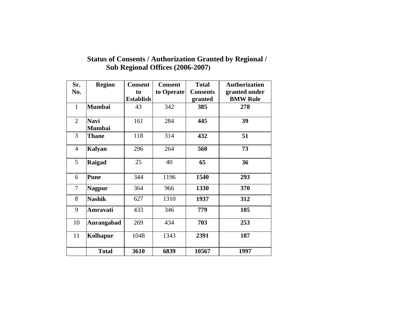| Sr.            | <b>Region</b>                | <b>Consent</b>   | <b>Consent</b> | <b>Total</b>    | <b>Authorization</b> |  |
|----------------|------------------------------|------------------|----------------|-----------------|----------------------|--|
| No.            |                              | to               | to Operate     | <b>Consents</b> | granted under        |  |
|                |                              | <b>Establish</b> |                | granted         | <b>BMW Rule</b>      |  |
| $\mathbf{1}$   | <b>Mumbai</b>                | 43               | 342            | 385             | 278                  |  |
| $\overline{2}$ | <b>Navi</b><br><b>Mumbai</b> | 161              | 284            | 445             | 39                   |  |
| 3              | <b>Thane</b>                 | 118              | 314            | 432             | 51                   |  |
| $\overline{4}$ | Kalyan                       | 296              | 264            | 560             | 73                   |  |
| 5              | Raigad                       | 25               | 40             | 65              | 36                   |  |
| 6              | <b>Pune</b>                  | 344              | 1196           | 1540            | 293                  |  |
| $\tau$         | <b>Nagpur</b>                | 364              | 966            | 1330            | 370                  |  |
| 8              | <b>Nashik</b>                | 627              | 1310           | 1937            | 312                  |  |
| 9              | Amravati                     | 433              | 346            | 779             | 105                  |  |
| 10             | <b>Aurangabad</b>            | 269              | 434            | 703             | 253                  |  |
| 11             | Kolhapur                     | 1048             | 1343           | 2391            | 187                  |  |
|                | <b>Total</b>                 | 3610             | 6839           | 10567           | 1997                 |  |

## **Status of Consents / Authorization Granted by Regional / Sub Regional Offices (2006-2007)**